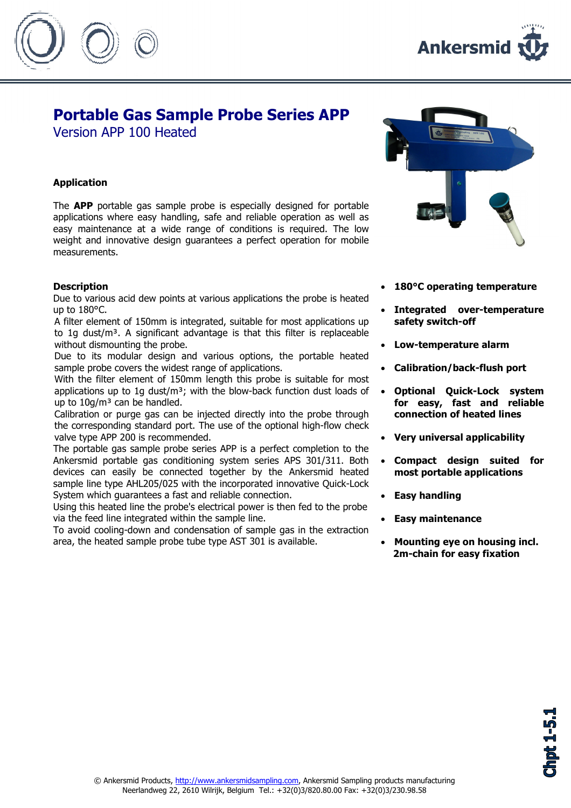



## Portable Gas Sample Probe Series APP

Version APP 100 Heated

## Application

The **APP** portable gas sample probe is especially designed for portable applications where easy handling, safe and reliable operation as well as easy maintenance at a wide range of conditions is required. The low weight and innovative design guarantees a perfect operation for mobile measurements.

## **Description**

Due to various acid dew points at various applications the probe is heated up to 180°C.

A filter element of 150mm is integrated, suitable for most applications up to 1g dust/ $m<sup>3</sup>$ . A significant advantage is that this filter is replaceable without dismounting the probe.

Due to its modular design and various options, the portable heated sample probe covers the widest range of applications.

With the filter element of 150mm length this probe is suitable for most applications up to 1g dust/ $m<sup>3</sup>$ ; with the blow-back function dust loads of up to  $10q/m<sup>3</sup>$  can be handled.

Calibration or purge gas can be injected directly into the probe through the corresponding standard port. The use of the optional high-flow check valve type APP 200 is recommended.

The portable gas sample probe series APP is a perfect completion to the Ankersmid portable gas conditioning system series APS 301/311. Both devices can easily be connected together by the Ankersmid heated sample line type AHL205/025 with the incorporated innovative Quick-Lock System which guarantees a fast and reliable connection.

Using this heated line the probe's electrical power is then fed to the probe via the feed line integrated within the sample line.

To avoid cooling-down and condensation of sample gas in the extraction area, the heated sample probe tube type AST 301 is available.



- 180°C operating temperature
- Integrated over-temperature safety switch-off
- Low-temperature alarm
- Calibration/back-flush port
- Optional Quick-Lock system for easy, fast and reliable connection of heated lines
- Very universal applicability
- Compact design suited for most portable applications
- Easy handling
- Easy maintenance
- Mounting eye on housing incl. 2m-chain for easy fixation